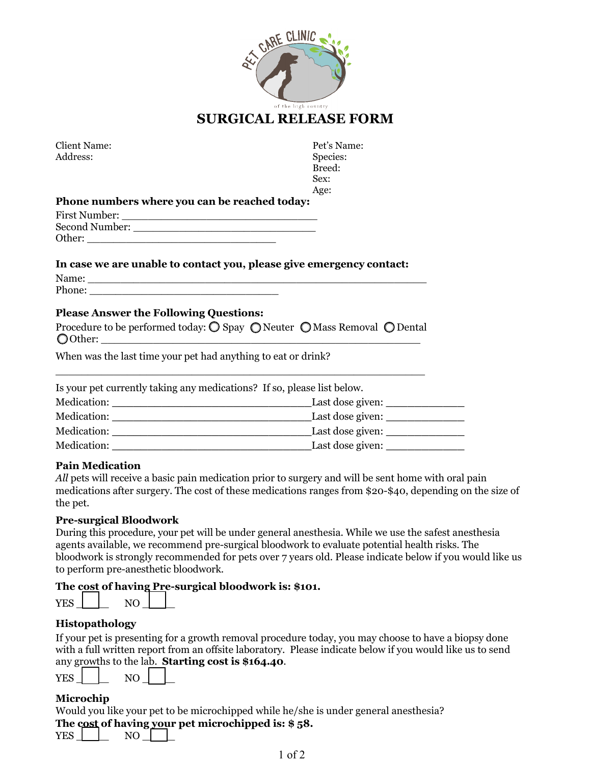

| Client Name: |
|--------------|
| Address:     |

Pet's Name: Species: Breed: Sex: Age:

#### **Phone numbers where you can be reached today:**

| First Number:  |  |
|----------------|--|
| Second Number: |  |
| Other:         |  |

#### **In case we are unable to contact you, please give emergency contact:**

| <b>NT</b><br>THATTL.    |  |
|-------------------------|--|
| $\mathbf{L}$<br>T HOHC. |  |

## **Please Answer the Following Questions:**

| Procedure to be performed today: $\bigcirc$ Spay $\bigcirc$ Neuter $\bigcirc$ Mass Removal $\bigcirc$ Dental |  |  |
|--------------------------------------------------------------------------------------------------------------|--|--|
| O Other:                                                                                                     |  |  |

\_\_\_\_\_\_\_\_\_\_\_\_\_\_\_\_\_\_\_\_\_\_\_\_\_\_\_\_\_\_\_\_\_\_\_\_\_\_\_\_\_\_\_\_\_\_\_\_\_\_\_\_\_\_\_\_\_

When was the last time your pet had anything to eat or drink?

| Is your pet currently taking any medications? If so, please list below. |                  |  |  |
|-------------------------------------------------------------------------|------------------|--|--|
| Medication:                                                             | Last dose given: |  |  |
| Medication:                                                             | Last dose given: |  |  |
| Medication:                                                             | Last dose given: |  |  |
| Medication:                                                             | Last dose given: |  |  |

### **Pain Medication**

*All* pets will receive a basic pain medication prior to surgery and will be sent home with oral pain medications after surgery. The cost of these medications ranges from \$20-\$40, depending on the size of the pet.

### **Pre-surgical Bloodwork**

During this procedure, your pet will be under general anesthesia. While we use the safest anesthesia agents available, we recommend pre-surgical bloodwork to evaluate potential health risks. The bloodwork is strongly recommended for pets over 7 years old. Please indicate below if you would like us to perform pre-anesthetic bloodwork.

### **The cost of having Pre-surgical bloodwork is: \$101.**

| 37 P.Q<br>Y M.N |  |  |
|-----------------|--|--|

### **Histopathology**

If your pet is presenting for a growth removal procedure today, you may choose to have a biopsy done with a full written report from an offsite laboratory. Please indicate below if you would like us to send any growths to the lab. **Starting cost is \$164.40**.

| YES | N L |  |
|-----|-----|--|
|     |     |  |

## **Microchip**

Would you like your pet to be microchipped while he/she is under general anesthesia? **The cost of having your pet microchipped is: \$ 58.** 

| 57T.0 |  |  |
|-------|--|--|